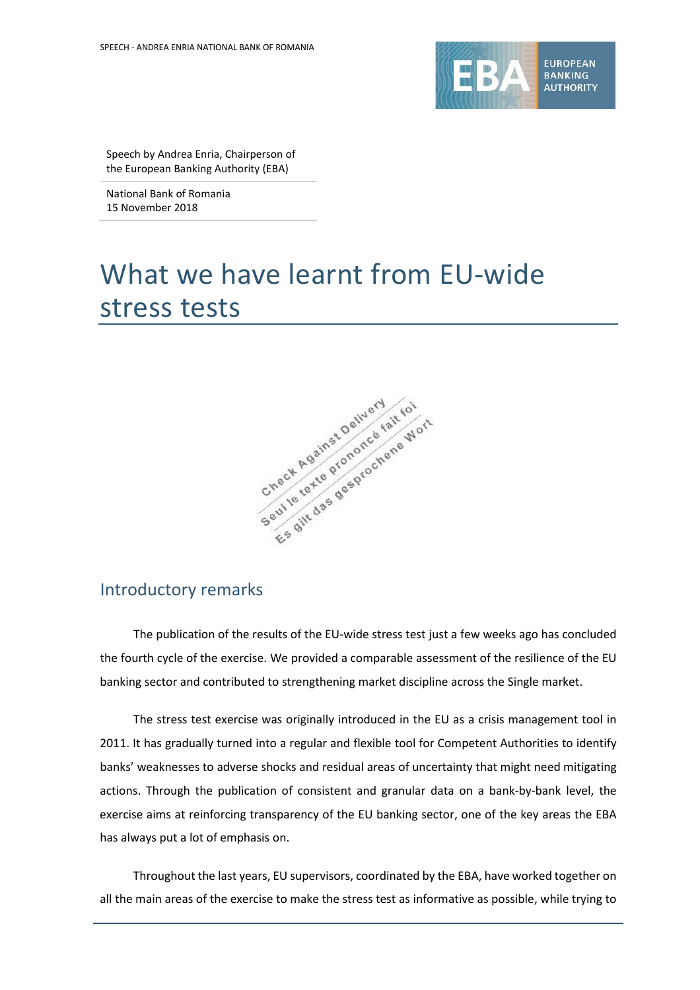

Speech by Andrea Enria, Chairperson of the European Banking Authority (EBA)

National Bank of Romania 15 November 2018

# What we have learnt from EU-wide stress tests



### Introductory remarks

The publication of the results of the EU-wide stress test just a few weeks ago has concluded the fourth cycle of the exercise. We provided a comparable assessment of the resilience of the EU banking sector and contributed to strengthening market discipline across the Single market.

The stress test exercise was originally introduced in the EU as a crisis management tool in 2011. It has gradually turned into a regular and flexible tool for Competent Authorities to identify banks' weaknesses to adverse shocks and residual areas of uncertainty that might need mitigating actions. Through the publication of consistent and granular data on a bank-by-bank level, the exercise aims at reinforcing transparency of the EU banking sector, one of the key areas the EBA has always put a lot of emphasis on.

Throughout the last years, EU supervisors, coordinated by the EBA, have worked together on all the main areas of the exercise to make the stress test as informative as possible, while trying to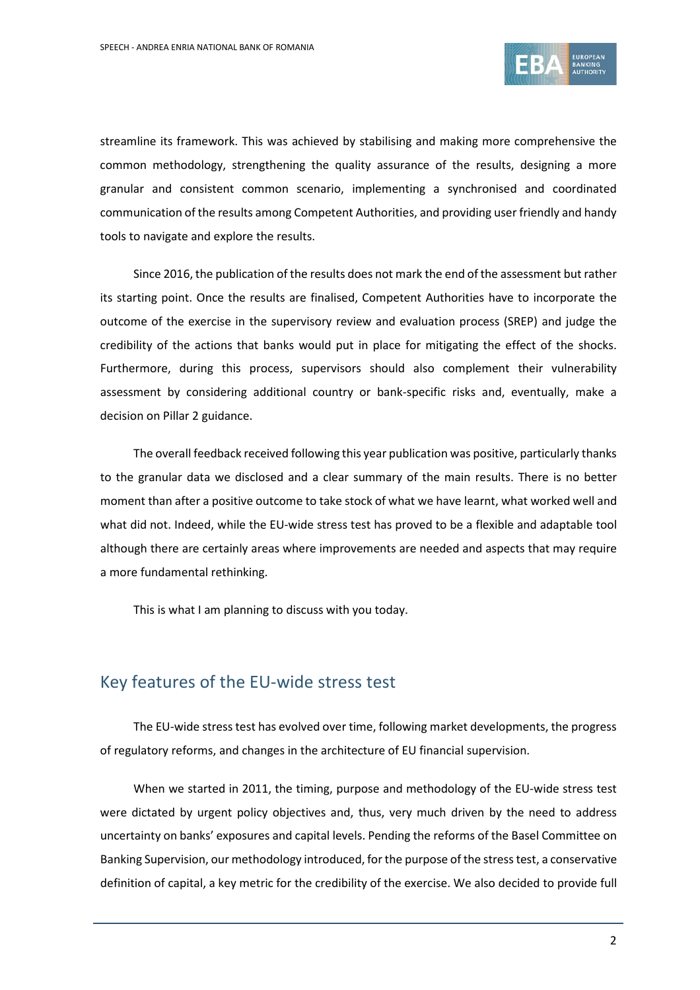

streamline its framework. This was achieved by stabilising and making more comprehensive the common methodology, strengthening the quality assurance of the results, designing a more granular and consistent common scenario, implementing a synchronised and coordinated communication of the results among Competent Authorities, and providing user friendly and handy tools to navigate and explore the results.

Since 2016, the publication of the results does not mark the end of the assessment but rather its starting point. Once the results are finalised, Competent Authorities have to incorporate the outcome of the exercise in the supervisory review and evaluation process (SREP) and judge the credibility of the actions that banks would put in place for mitigating the effect of the shocks. Furthermore, during this process, supervisors should also complement their vulnerability assessment by considering additional country or bank-specific risks and, eventually, make a decision on Pillar 2 guidance.

The overall feedback received following this year publication was positive, particularly thanks to the granular data we disclosed and a clear summary of the main results. There is no better moment than after a positive outcome to take stock of what we have learnt, what worked well and what did not. Indeed, while the EU-wide stress test has proved to be a flexible and adaptable tool although there are certainly areas where improvements are needed and aspects that may require a more fundamental rethinking.

This is what I am planning to discuss with you today.

### Key features of the EU-wide stress test

The EU-wide stress test has evolved over time, following market developments, the progress of regulatory reforms, and changes in the architecture of EU financial supervision.

When we started in 2011, the timing, purpose and methodology of the EU-wide stress test were dictated by urgent policy objectives and, thus, very much driven by the need to address uncertainty on banks' exposures and capital levels. Pending the reforms of the Basel Committee on Banking Supervision, our methodology introduced, forthe purpose of the stresstest, a conservative definition of capital, a key metric for the credibility of the exercise. We also decided to provide full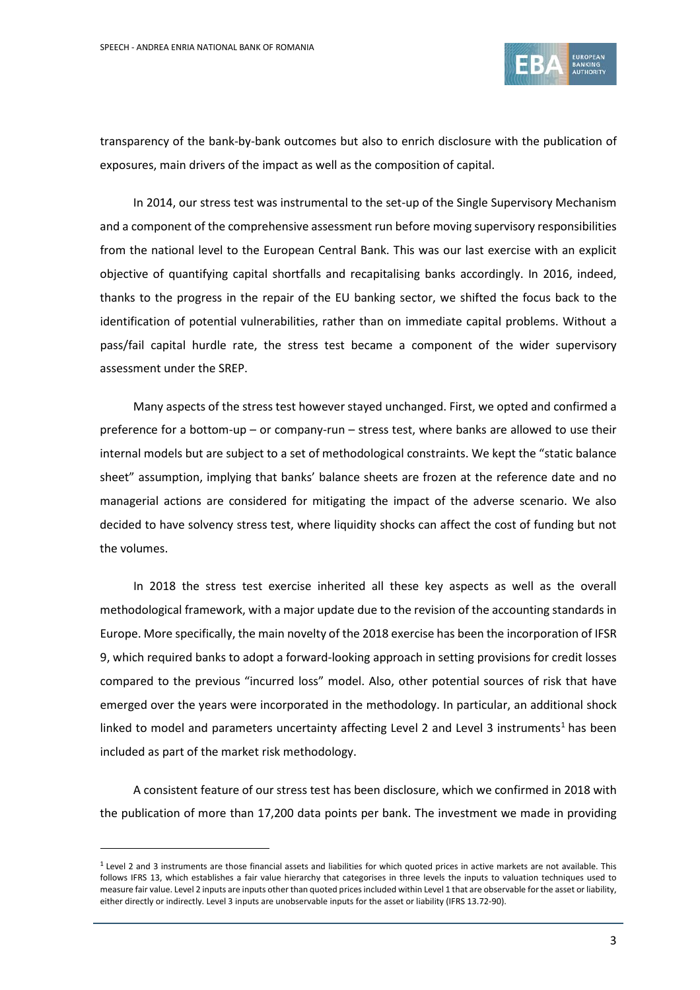

transparency of the bank-by-bank outcomes but also to enrich disclosure with the publication of exposures, main drivers of the impact as well as the composition of capital.

In 2014, our stress test was instrumental to the set-up of the Single Supervisory Mechanism and a component of the comprehensive assessment run before moving supervisory responsibilities from the national level to the European Central Bank. This was our last exercise with an explicit objective of quantifying capital shortfalls and recapitalising banks accordingly. In 2016, indeed, thanks to the progress in the repair of the EU banking sector, we shifted the focus back to the identification of potential vulnerabilities, rather than on immediate capital problems. Without a pass/fail capital hurdle rate, the stress test became a component of the wider supervisory assessment under the SREP.

Many aspects of the stress test however stayed unchanged. First, we opted and confirmed a preference for a bottom-up – or company-run – stress test, where banks are allowed to use their internal models but are subject to a set of methodological constraints. We kept the "static balance sheet" assumption, implying that banks' balance sheets are frozen at the reference date and no managerial actions are considered for mitigating the impact of the adverse scenario. We also decided to have solvency stress test, where liquidity shocks can affect the cost of funding but not the volumes.

In 2018 the stress test exercise inherited all these key aspects as well as the overall methodological framework, with a major update due to the revision of the accounting standards in Europe. More specifically, the main novelty of the 2018 exercise has been the incorporation of IFSR 9, which required banks to adopt a forward-looking approach in setting provisions for credit losses compared to the previous "incurred loss" model. Also, other potential sources of risk that have emerged over the years were incorporated in the methodology. In particular, an additional shock linked to model and parameters uncertainty affecting Level 2 and Level 3 instruments<sup>[1](#page-2-0)</sup> has been included as part of the market risk methodology.

A consistent feature of our stress test has been disclosure, which we confirmed in 2018 with the publication of more than 17,200 data points per bank. The investment we made in providing

<span id="page-2-0"></span><sup>1</sup> Level 2 and 3 instruments are those financial assets and liabilities for which quoted prices in active markets are not available. This follows IFRS 13, which establishes a fair value hierarchy that categorises in three levels the inputs to valuation techniques used to measure fair value. Level 2 inputs are inputs other than quoted pricesincluded within Level 1 that are observable forthe asset or liability, either directly or indirectly. Level 3 inputs are unobservable inputs for the asset or liability (IFRS 13.72-90).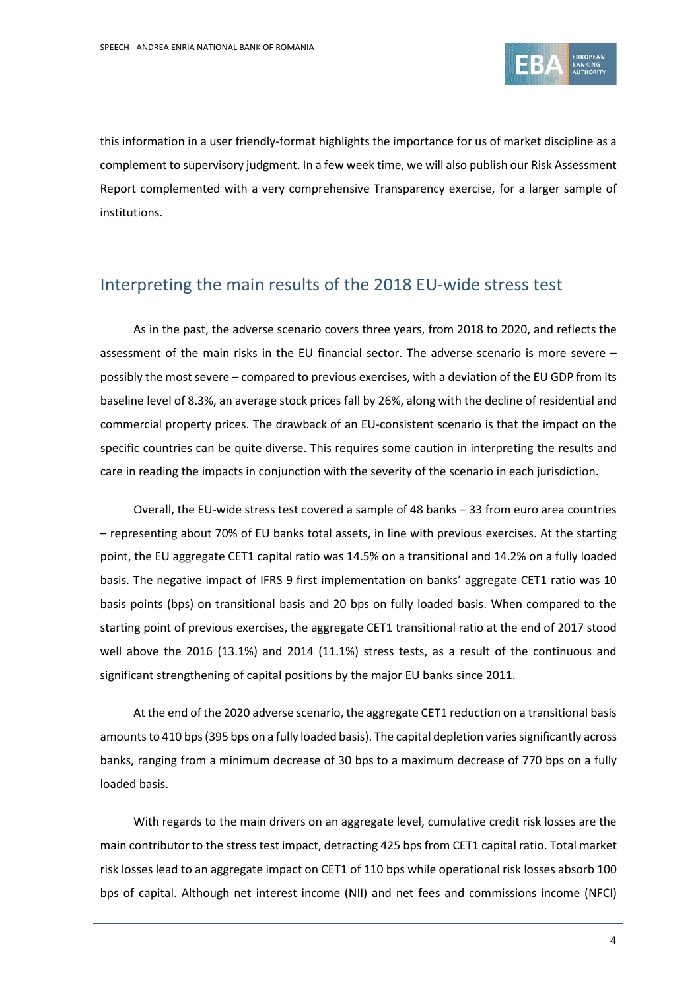

this information in a user friendly-format highlights the importance for us of market discipline as a complement to supervisory judgment. In a few week time, we will also publish our Risk Assessment Report complemented with a very comprehensive Transparency exercise, for a larger sample of institutions.

# Interpreting the main results of the 2018 EU-wide stress test

As in the past, the adverse scenario covers three years, from 2018 to 2020, and reflects the assessment of the main risks in the EU financial sector. The adverse scenario is more severe – possibly the most severe – compared to previous exercises, with a deviation of the EU GDP from its baseline level of 8.3%, an average stock prices fall by 26%, along with the decline of residential and commercial property prices. The drawback of an EU-consistent scenario is that the impact on the specific countries can be quite diverse. This requires some caution in interpreting the results and care in reading the impacts in conjunction with the severity of the scenario in each jurisdiction.

Overall, the EU-wide stress test covered a sample of 48 banks – 33 from euro area countries – representing about 70% of EU banks total assets, in line with previous exercises. At the starting point, the EU aggregate CET1 capital ratio was 14.5% on a transitional and 14.2% on a fully loaded basis. The negative impact of IFRS 9 first implementation on banks' aggregate CET1 ratio was 10 basis points (bps) on transitional basis and 20 bps on fully loaded basis. When compared to the starting point of previous exercises, the aggregate CET1 transitional ratio at the end of 2017 stood well above the 2016 (13.1%) and 2014 (11.1%) stress tests, as a result of the continuous and significant strengthening of capital positions by the major EU banks since 2011.

At the end of the 2020 adverse scenario, the aggregate CET1 reduction on a transitional basis amounts to 410 bps (395 bps on a fully loaded basis). The capital depletion varies significantly across banks, ranging from a minimum decrease of 30 bps to a maximum decrease of 770 bps on a fully loaded basis.

With regards to the main drivers on an aggregate level, cumulative credit risk losses are the main contributor to the stress test impact, detracting 425 bps from CET1 capital ratio. Total market risk losses lead to an aggregate impact on CET1 of 110 bps while operational risk losses absorb 100 bps of capital. Although net interest income (NII) and net fees and commissions income (NFCI)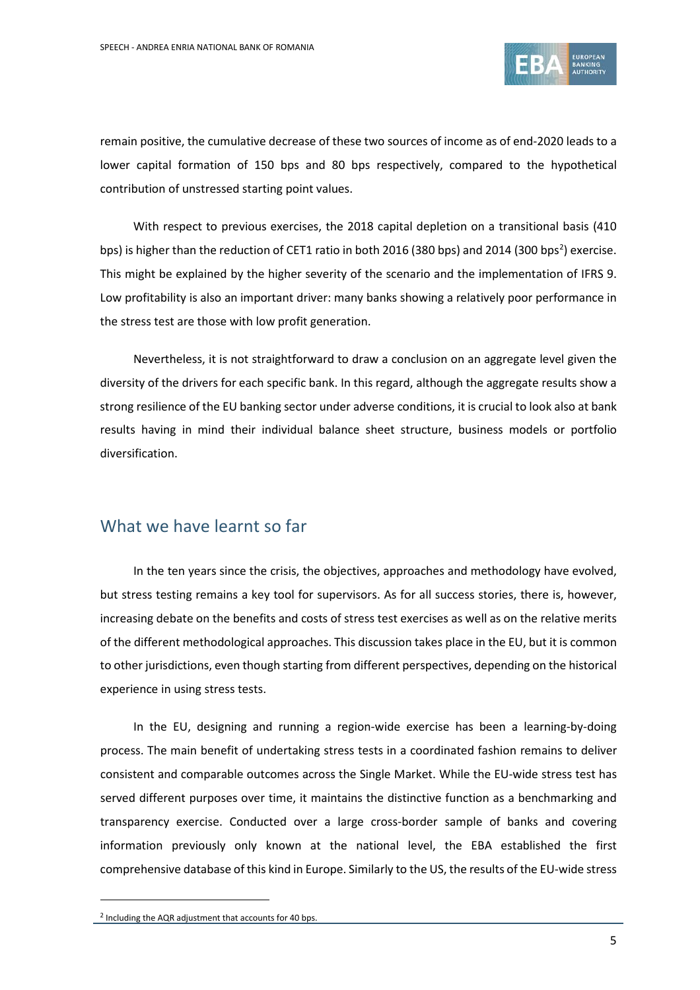

remain positive, the cumulative decrease of these two sources of income as of end-2020 leads to a lower capital formation of 150 bps and 80 bps respectively, compared to the hypothetical contribution of unstressed starting point values.

With respect to previous exercises, the 2018 capital depletion on a transitional basis (410 bps) is higher than the reduction of CET1 ratio in both [2](#page-4-0)016 (380 bps) and 2014 (300 bps<sup>2</sup>) exercise. This might be explained by the higher severity of the scenario and the implementation of IFRS 9. Low profitability is also an important driver: many banks showing a relatively poor performance in the stress test are those with low profit generation.

Nevertheless, it is not straightforward to draw a conclusion on an aggregate level given the diversity of the drivers for each specific bank. In this regard, although the aggregate results show a strong resilience of the EU banking sector under adverse conditions, it is crucial to look also at bank results having in mind their individual balance sheet structure, business models or portfolio diversification.

### What we have learnt so far

In the ten years since the crisis, the objectives, approaches and methodology have evolved, but stress testing remains a key tool for supervisors. As for all success stories, there is, however, increasing debate on the benefits and costs of stress test exercises as well as on the relative merits of the different methodological approaches. This discussion takes place in the EU, but it is common to other jurisdictions, even though starting from different perspectives, depending on the historical experience in using stress tests.

In the EU, designing and running a region-wide exercise has been a learning-by-doing process. The main benefit of undertaking stress tests in a coordinated fashion remains to deliver consistent and comparable outcomes across the Single Market. While the EU-wide stress test has served different purposes over time, it maintains the distinctive function as a benchmarking and transparency exercise. Conducted over a large cross-border sample of banks and covering information previously only known at the national level, the EBA established the first comprehensive database of this kind in Europe. Similarly to the US, the results of the EU-wide stress

<span id="page-4-0"></span><sup>2</sup> Including the AQR adjustment that accounts for 40 bps.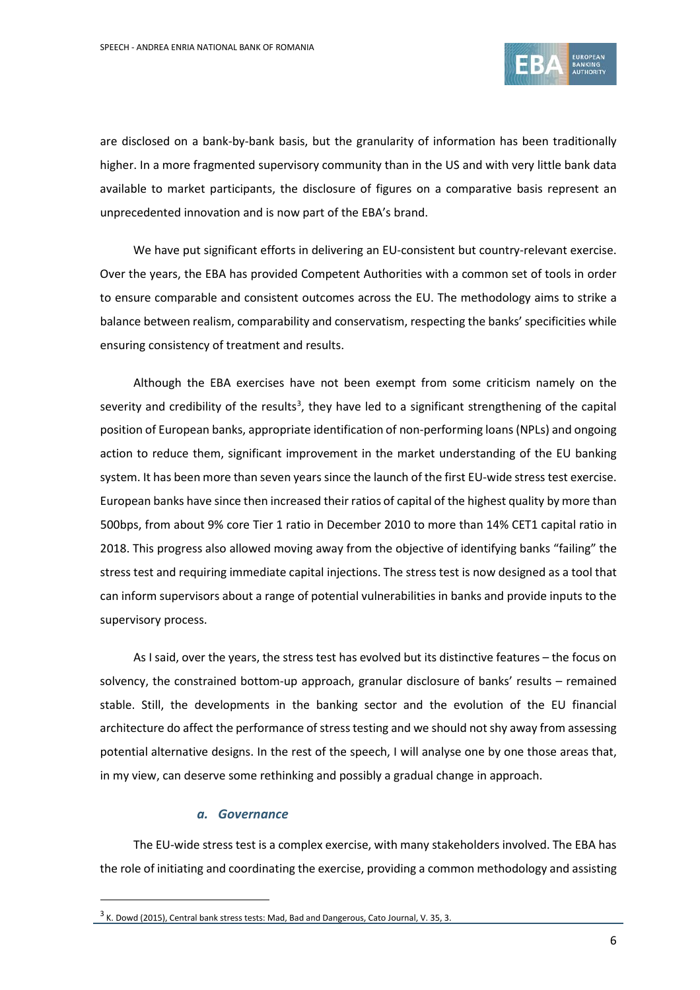

are disclosed on a bank-by-bank basis, but the granularity of information has been traditionally higher. In a more fragmented supervisory community than in the US and with very little bank data available to market participants, the disclosure of figures on a comparative basis represent an unprecedented innovation and is now part of the EBA's brand.

We have put significant efforts in delivering an EU-consistent but country-relevant exercise. Over the years, the EBA has provided Competent Authorities with a common set of tools in order to ensure comparable and consistent outcomes across the EU. The methodology aims to strike a balance between realism, comparability and conservatism, respecting the banks' specificities while ensuring consistency of treatment and results.

Although the EBA exercises have not been exempt from some criticism namely on the severity and credibility of the results<sup>[3](#page-5-0)</sup>, they have led to a significant strengthening of the capital position of European banks, appropriate identification of non-performing loans (NPLs) and ongoing action to reduce them, significant improvement in the market understanding of the EU banking system. It has been more than seven years since the launch of the first EU-wide stress test exercise. European banks have since then increased their ratios of capital of the highest quality by more than 500bps, from about 9% core Tier 1 ratio in December 2010 to more than 14% CET1 capital ratio in 2018. This progress also allowed moving away from the objective of identifying banks "failing" the stress test and requiring immediate capital injections. The stress test is now designed as a tool that can inform supervisors about a range of potential vulnerabilities in banks and provide inputs to the supervisory process.

As I said, over the years, the stress test has evolved but its distinctive features – the focus on solvency, the constrained bottom-up approach, granular disclosure of banks' results – remained stable. Still, the developments in the banking sector and the evolution of the EU financial architecture do affect the performance of stress testing and we should not shy away from assessing potential alternative designs. In the rest of the speech, I will analyse one by one those areas that, in my view, can deserve some rethinking and possibly a gradual change in approach.

#### *a. Governance*

 $\overline{a}$ 

The EU-wide stress test is a complex exercise, with many stakeholders involved. The EBA has the role of initiating and coordinating the exercise, providing a common methodology and assisting

<span id="page-5-0"></span><sup>&</sup>lt;sup>3</sup> K. Dowd (2015), Central bank stress tests: Mad, Bad and Dangerous, Cato Journal, V. 35, 3.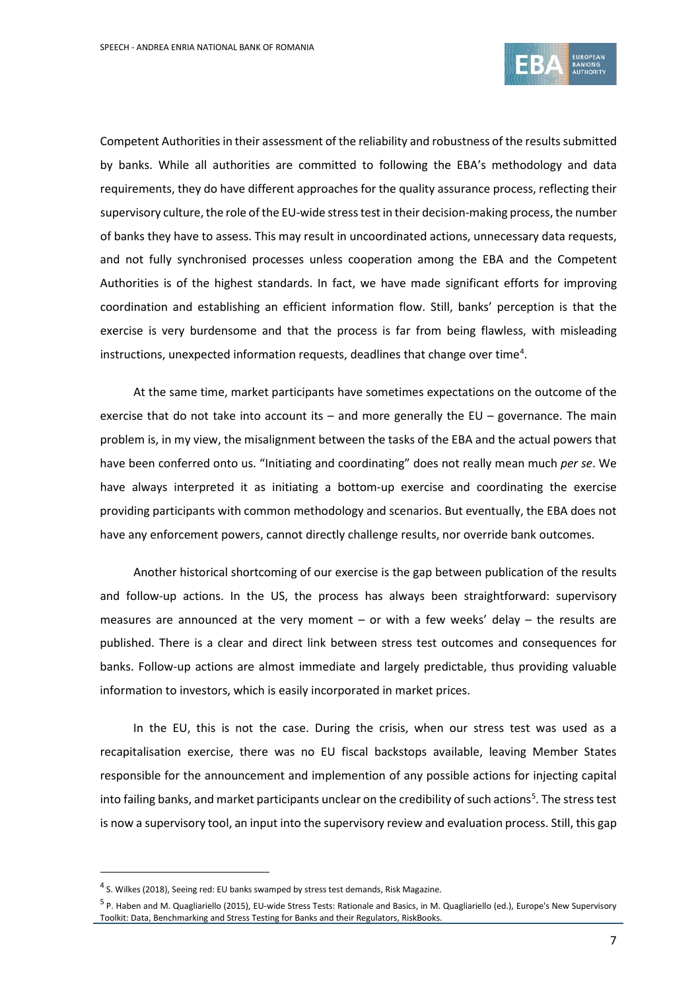

Competent Authorities in their assessment of the reliability and robustness of the results submitted by banks. While all authorities are committed to following the EBA's methodology and data requirements, they do have different approaches for the quality assurance process, reflecting their supervisory culture, the role of the EU-wide stress test in their decision-making process, the number of banks they have to assess. This may result in uncoordinated actions, unnecessary data requests, and not fully synchronised processes unless cooperation among the EBA and the Competent Authorities is of the highest standards. In fact, we have made significant efforts for improving coordination and establishing an efficient information flow. Still, banks' perception is that the exercise is very burdensome and that the process is far from being flawless, with misleading instructions, unexpected information requests, deadlines that change over time<sup>[4](#page-6-0)</sup>.

At the same time, market participants have sometimes expectations on the outcome of the exercise that do not take into account its  $-$  and more generally the EU  $-$  governance. The main problem is, in my view, the misalignment between the tasks of the EBA and the actual powers that have been conferred onto us. "Initiating and coordinating" does not really mean much *per se*. We have always interpreted it as initiating a bottom-up exercise and coordinating the exercise providing participants with common methodology and scenarios. But eventually, the EBA does not have any enforcement powers, cannot directly challenge results, nor override bank outcomes.

Another historical shortcoming of our exercise is the gap between publication of the results and follow-up actions. In the US, the process has always been straightforward: supervisory measures are announced at the very moment – or with a few weeks' delay – the results are published. There is a clear and direct link between stress test outcomes and consequences for banks. Follow-up actions are almost immediate and largely predictable, thus providing valuable information to investors, which is easily incorporated in market prices.

In the EU, this is not the case. During the crisis, when our stress test was used as a recapitalisation exercise, there was no EU fiscal backstops available, leaving Member States responsible for the announcement and implemention of any possible actions for injecting capital into failing banks, and market participants unclear on the credibility of such actions<sup>[5](#page-6-1)</sup>. The stress test is now a supervisory tool, an input into the supervisory review and evaluation process. Still, this gap

<sup>4</sup> S. Wilkes (2018), Seeing red: EU banks swamped by stress test demands, Risk Magazine.

<span id="page-6-1"></span><span id="page-6-0"></span><sup>5</sup> P. Haben and M. Quagliariello (2015), EU-wide Stress Tests: Rationale and Basics, in M. Quagliariello (ed.), Europe's New Supervisory Toolkit: Data, Benchmarking and Stress Testing for Banks and their Regulators, RiskBooks.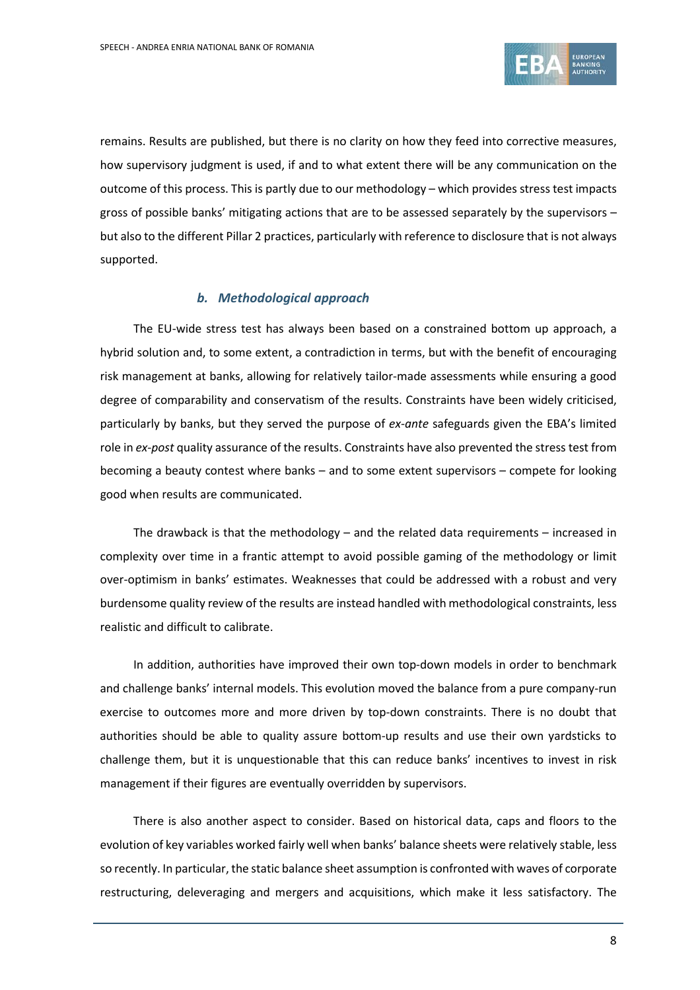

remains. Results are published, but there is no clarity on how they feed into corrective measures, how supervisory judgment is used, if and to what extent there will be any communication on the outcome of this process. This is partly due to our methodology – which provides stress test impacts gross of possible banks' mitigating actions that are to be assessed separately by the supervisors – but also to the different Pillar 2 practices, particularly with reference to disclosure that is not always supported.

### *b. Methodological approach*

The EU-wide stress test has always been based on a constrained bottom up approach, a hybrid solution and, to some extent, a contradiction in terms, but with the benefit of encouraging risk management at banks, allowing for relatively tailor-made assessments while ensuring a good degree of comparability and conservatism of the results. Constraints have been widely criticised, particularly by banks, but they served the purpose of *ex-ante* safeguards given the EBA's limited role in *ex-post* quality assurance of the results. Constraints have also prevented the stress test from becoming a beauty contest where banks – and to some extent supervisors – compete for looking good when results are communicated.

The drawback is that the methodology  $-$  and the related data requirements  $-$  increased in complexity over time in a frantic attempt to avoid possible gaming of the methodology or limit over-optimism in banks' estimates. Weaknesses that could be addressed with a robust and very burdensome quality review of the results are instead handled with methodological constraints, less realistic and difficult to calibrate.

In addition, authorities have improved their own top-down models in order to benchmark and challenge banks' internal models. This evolution moved the balance from a pure company-run exercise to outcomes more and more driven by top-down constraints. There is no doubt that authorities should be able to quality assure bottom-up results and use their own yardsticks to challenge them, but it is unquestionable that this can reduce banks' incentives to invest in risk management if their figures are eventually overridden by supervisors.

There is also another aspect to consider. Based on historical data, caps and floors to the evolution of key variables worked fairly well when banks' balance sheets were relatively stable, less so recently. In particular, the static balance sheet assumption is confronted with waves of corporate restructuring, deleveraging and mergers and acquisitions, which make it less satisfactory. The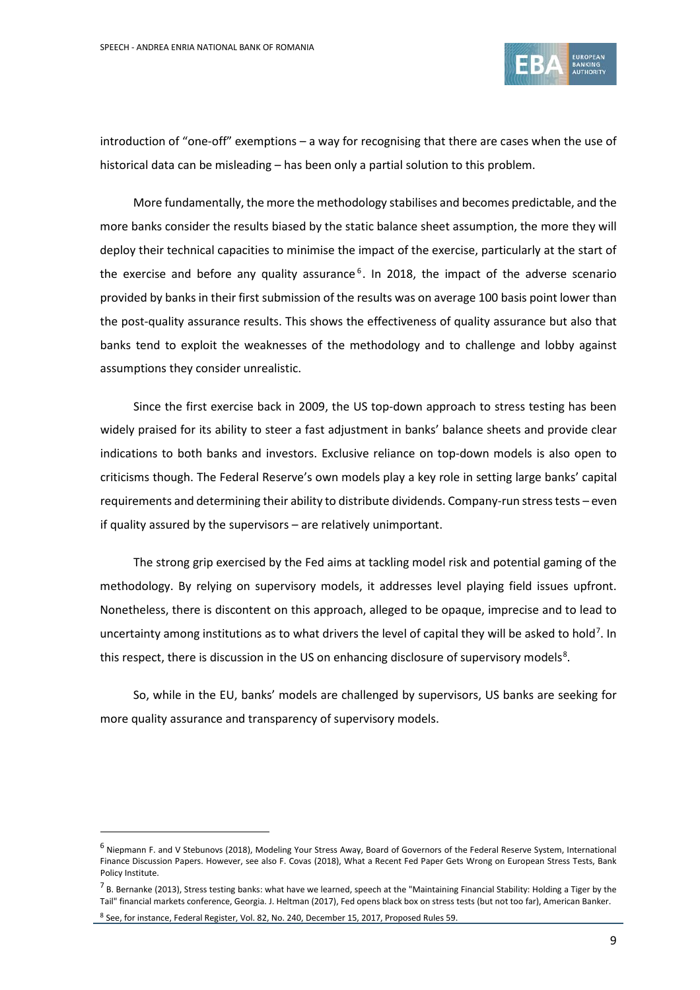

introduction of "one-off" exemptions – a way for recognising that there are cases when the use of historical data can be misleading – has been only a partial solution to this problem.

More fundamentally, the more the methodology stabilises and becomes predictable, and the more banks consider the results biased by the static balance sheet assumption, the more they will deploy their technical capacities to minimise the impact of the exercise, particularly at the start of the exercise and before any quality assurance<sup>[6](#page-8-0)</sup>. In 2018, the impact of the adverse scenario provided by banks in their first submission of the results was on average 100 basis point lower than the post-quality assurance results. This shows the effectiveness of quality assurance but also that banks tend to exploit the weaknesses of the methodology and to challenge and lobby against assumptions they consider unrealistic.

Since the first exercise back in 2009, the US top-down approach to stress testing has been widely praised for its ability to steer a fast adjustment in banks' balance sheets and provide clear indications to both banks and investors. Exclusive reliance on top-down models is also open to criticisms though. The Federal Reserve's own models play a key role in setting large banks' capital requirements and determining their ability to distribute dividends. Company-run stress tests – even if quality assured by the supervisors – are relatively unimportant.

The strong grip exercised by the Fed aims at tackling model risk and potential gaming of the methodology. By relying on supervisory models, it addresses level playing field issues upfront. Nonetheless, there is discontent on this approach, alleged to be opaque, imprecise and to lead to uncertainty among institutions as to what drivers the level of capital they will be asked to hold<sup>[7](#page-8-1)</sup>. In this respect, there is discussion in the US on enhancing disclosure of supervisory models<sup>[8](#page-8-2)</sup>.

So, while in the EU, banks' models are challenged by supervisors, US banks are seeking for more quality assurance and transparency of supervisory models.

<span id="page-8-0"></span><sup>6</sup> Niepmann F. and V Stebunovs (2018), Modeling Your Stress Away, Board of Governors of the Federal Reserve System, International Finance Discussion Papers. However, see also F. Covas (2018), What a Recent Fed Paper Gets Wrong on European Stress Tests, Bank Policy Institute.

<span id="page-8-1"></span> $^7$  B. Bernanke (2013), Stress testing banks: what have we learned, speech at the "Maintaining Financial Stability: Holding a Tiger by the Tail" financial markets conference, Georgia. J. Heltman (2017), Fed opens black box on stress tests (but not too far), American Banker.

<span id="page-8-2"></span><sup>8</sup> See, for instance, Federal Register, Vol. 82, No. 240, December 15, 2017, Proposed Rules 59.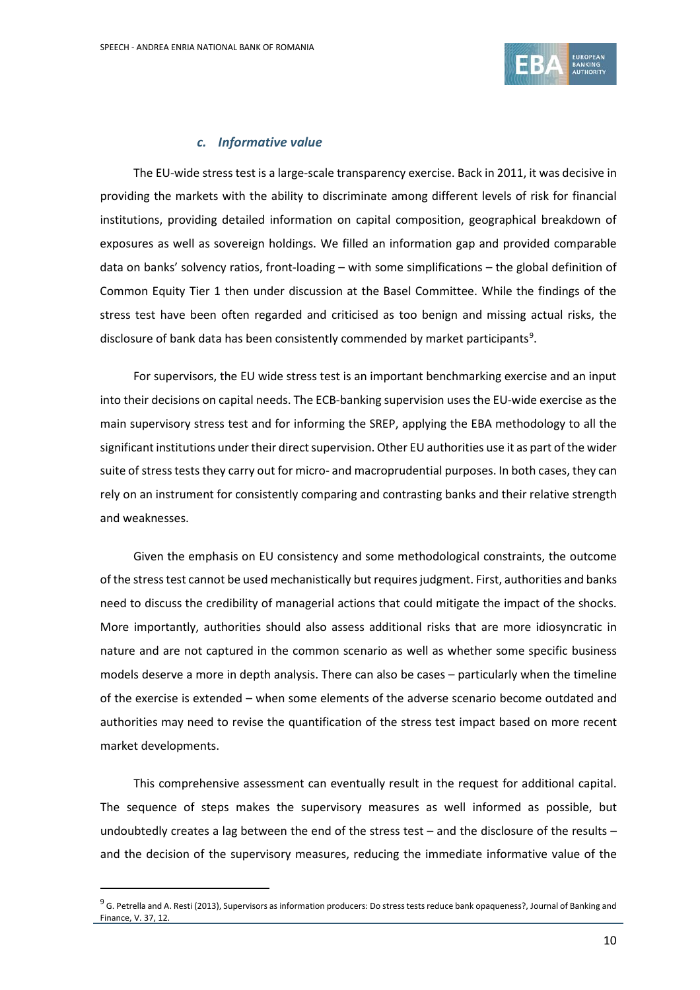

### *c. Informative value*

The EU-wide stress test is a large-scale transparency exercise. Back in 2011, it was decisive in providing the markets with the ability to discriminate among different levels of risk for financial institutions, providing detailed information on capital composition, geographical breakdown of exposures as well as sovereign holdings. We filled an information gap and provided comparable data on banks' solvency ratios, front-loading – with some simplifications – the global definition of Common Equity Tier 1 then under discussion at the Basel Committee. While the findings of the stress test have been often regarded and criticised as too benign and missing actual risks, the disclosure of bank data has been consistently commended by market participants<sup>[9](#page-9-0)</sup>.

For supervisors, the EU wide stress test is an important benchmarking exercise and an input into their decisions on capital needs. The ECB-banking supervision uses the EU-wide exercise as the main supervisory stress test and for informing the SREP, applying the EBA methodology to all the significant institutions under their direct supervision. Other EU authorities use it as part of the wider suite of stress tests they carry out for micro- and macroprudential purposes. In both cases, they can rely on an instrument for consistently comparing and contrasting banks and their relative strength and weaknesses.

Given the emphasis on EU consistency and some methodological constraints, the outcome of the stress test cannot be used mechanistically but requires judgment. First, authorities and banks need to discuss the credibility of managerial actions that could mitigate the impact of the shocks. More importantly, authorities should also assess additional risks that are more idiosyncratic in nature and are not captured in the common scenario as well as whether some specific business models deserve a more in depth analysis. There can also be cases – particularly when the timeline of the exercise is extended – when some elements of the adverse scenario become outdated and authorities may need to revise the quantification of the stress test impact based on more recent market developments.

This comprehensive assessment can eventually result in the request for additional capital. The sequence of steps makes the supervisory measures as well informed as possible, but undoubtedly creates a lag between the end of the stress test – and the disclosure of the results – and the decision of the supervisory measures, reducing the immediate informative value of the

<span id="page-9-0"></span><sup>&</sup>lt;sup>9</sup> G. Petrella and A. Resti (2013), Supervisors as information producers: Do stress tests reduce bank opaqueness?, Journal of Banking and Finance, V. 37, 12.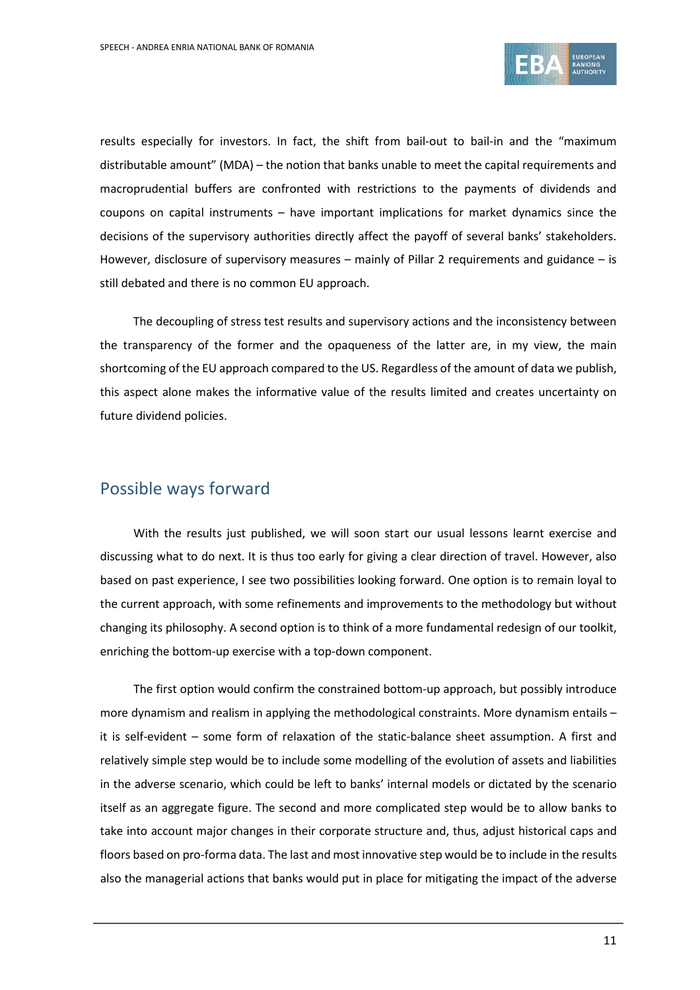

results especially for investors. In fact, the shift from bail-out to bail-in and the "maximum distributable amount" (MDA) – the notion that banks unable to meet the capital requirements and macroprudential buffers are confronted with restrictions to the payments of dividends and coupons on capital instruments – have important implications for market dynamics since the decisions of the supervisory authorities directly affect the payoff of several banks' stakeholders. However, disclosure of supervisory measures  $-$  mainly of Pillar 2 requirements and guidance  $-$  is still debated and there is no common EU approach.

The decoupling of stress test results and supervisory actions and the inconsistency between the transparency of the former and the opaqueness of the latter are, in my view, the main shortcoming of the EU approach compared to the US. Regardless of the amount of data we publish, this aspect alone makes the informative value of the results limited and creates uncertainty on future dividend policies.

### Possible ways forward

With the results just published, we will soon start our usual lessons learnt exercise and discussing what to do next. It is thus too early for giving a clear direction of travel. However, also based on past experience, I see two possibilities looking forward. One option is to remain loyal to the current approach, with some refinements and improvements to the methodology but without changing its philosophy. A second option is to think of a more fundamental redesign of our toolkit, enriching the bottom-up exercise with a top-down component.

The first option would confirm the constrained bottom-up approach, but possibly introduce more dynamism and realism in applying the methodological constraints. More dynamism entails – it is self-evident – some form of relaxation of the static-balance sheet assumption. A first and relatively simple step would be to include some modelling of the evolution of assets and liabilities in the adverse scenario, which could be left to banks' internal models or dictated by the scenario itself as an aggregate figure. The second and more complicated step would be to allow banks to take into account major changes in their corporate structure and, thus, adjust historical caps and floors based on pro-forma data. The last and most innovative step would be to include in the results also the managerial actions that banks would put in place for mitigating the impact of the adverse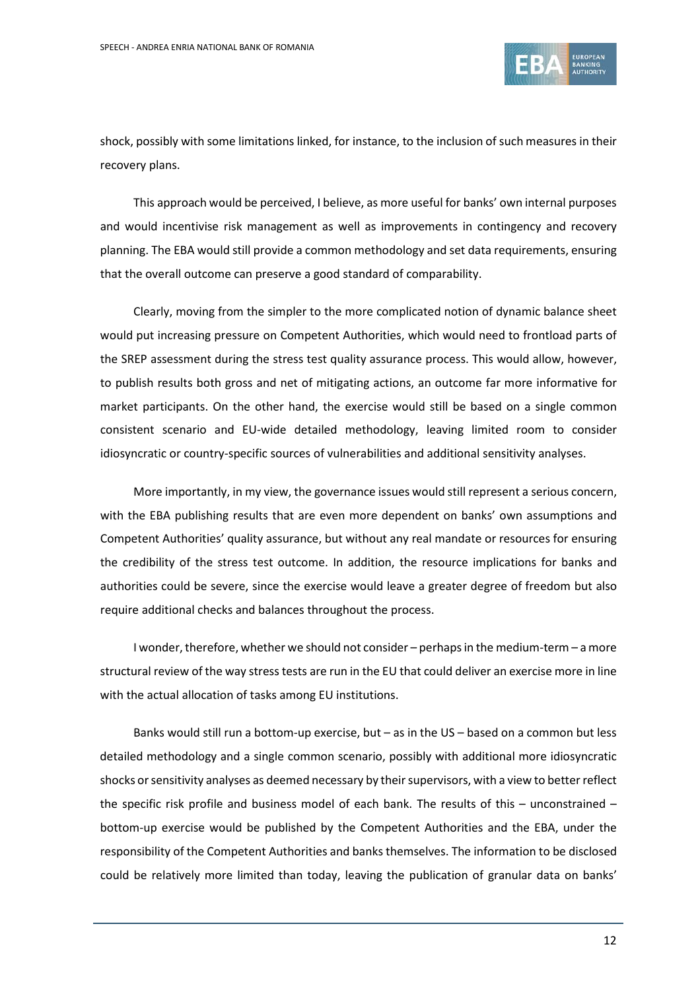

shock, possibly with some limitations linked, for instance, to the inclusion of such measures in their recovery plans.

This approach would be perceived, I believe, as more useful for banks' own internal purposes and would incentivise risk management as well as improvements in contingency and recovery planning. The EBA would still provide a common methodology and set data requirements, ensuring that the overall outcome can preserve a good standard of comparability.

Clearly, moving from the simpler to the more complicated notion of dynamic balance sheet would put increasing pressure on Competent Authorities, which would need to frontload parts of the SREP assessment during the stress test quality assurance process. This would allow, however, to publish results both gross and net of mitigating actions, an outcome far more informative for market participants. On the other hand, the exercise would still be based on a single common consistent scenario and EU-wide detailed methodology, leaving limited room to consider idiosyncratic or country-specific sources of vulnerabilities and additional sensitivity analyses.

More importantly, in my view, the governance issues would still represent a serious concern, with the EBA publishing results that are even more dependent on banks' own assumptions and Competent Authorities' quality assurance, but without any real mandate or resources for ensuring the credibility of the stress test outcome. In addition, the resource implications for banks and authorities could be severe, since the exercise would leave a greater degree of freedom but also require additional checks and balances throughout the process.

I wonder, therefore, whether we should not consider – perhaps in the medium-term – a more structural review of the way stress tests are run in the EU that could deliver an exercise more in line with the actual allocation of tasks among EU institutions.

Banks would still run a bottom-up exercise, but – as in the US – based on a common but less detailed methodology and a single common scenario, possibly with additional more idiosyncratic shocks or sensitivity analyses as deemed necessary by their supervisors, with a view to better reflect the specific risk profile and business model of each bank. The results of this – unconstrained – bottom-up exercise would be published by the Competent Authorities and the EBA, under the responsibility of the Competent Authorities and banks themselves. The information to be disclosed could be relatively more limited than today, leaving the publication of granular data on banks'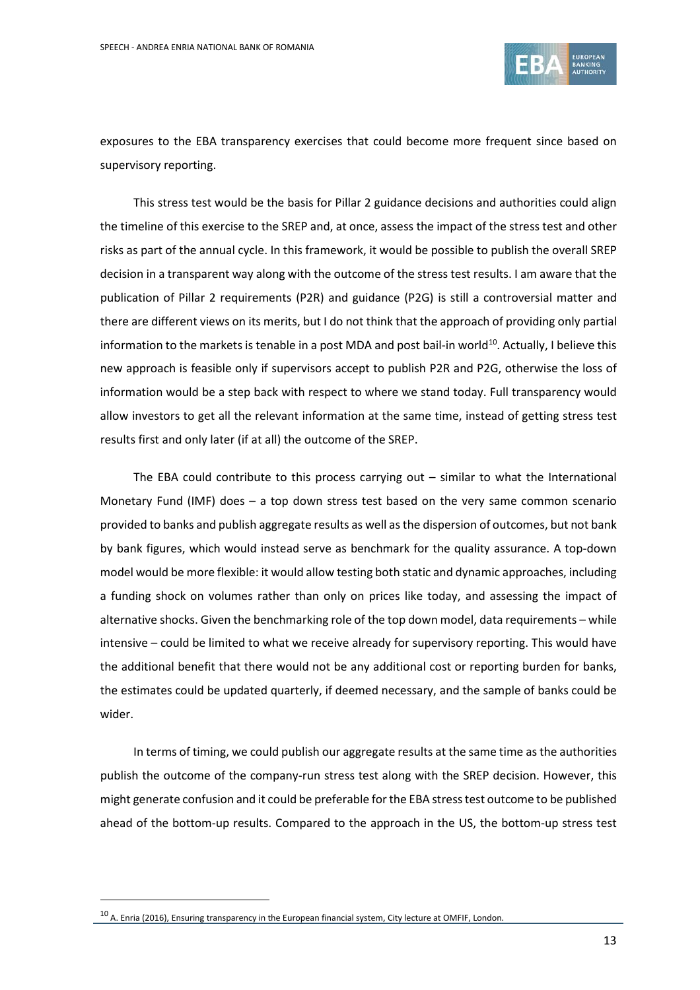

exposures to the EBA transparency exercises that could become more frequent since based on supervisory reporting.

This stress test would be the basis for Pillar 2 guidance decisions and authorities could align the timeline of this exercise to the SREP and, at once, assess the impact of the stress test and other risks as part of the annual cycle. In this framework, it would be possible to publish the overall SREP decision in a transparent way along with the outcome of the stress test results. I am aware that the publication of Pillar 2 requirements (P2R) and guidance (P2G) is still a controversial matter and there are different views on its merits, but I do not think that the approach of providing only partial information to the markets is tenable in a post MDA and post bail-in world<sup>10</sup>. Actually, I believe this new approach is feasible only if supervisors accept to publish P2R and P2G, otherwise the loss of information would be a step back with respect to where we stand today. Full transparency would allow investors to get all the relevant information at the same time, instead of getting stress test results first and only later (if at all) the outcome of the SREP.

The EBA could contribute to this process carrying out – similar to what the International Monetary Fund (IMF) does – a top down stress test based on the very same common scenario provided to banks and publish aggregate results as well asthe dispersion of outcomes, but not bank by bank figures, which would instead serve as benchmark for the quality assurance. A top-down model would be more flexible: it would allow testing both static and dynamic approaches, including a funding shock on volumes rather than only on prices like today, and assessing the impact of alternative shocks. Given the benchmarking role of the top down model, data requirements – while intensive – could be limited to what we receive already for supervisory reporting. This would have the additional benefit that there would not be any additional cost or reporting burden for banks, the estimates could be updated quarterly, if deemed necessary, and the sample of banks could be wider.

In terms of timing, we could publish our aggregate results at the same time asthe authorities publish the outcome of the company-run stress test along with the SREP decision. However, this might generate confusion and it could be preferable forthe EBA stresstest outcome to be published ahead of the bottom-up results. Compared to the approach in the US, the bottom-up stress test

<span id="page-12-0"></span><sup>10</sup> A. Enria (2016), Ensuring transparency in the European financial system, City lecture at OMFIF, London.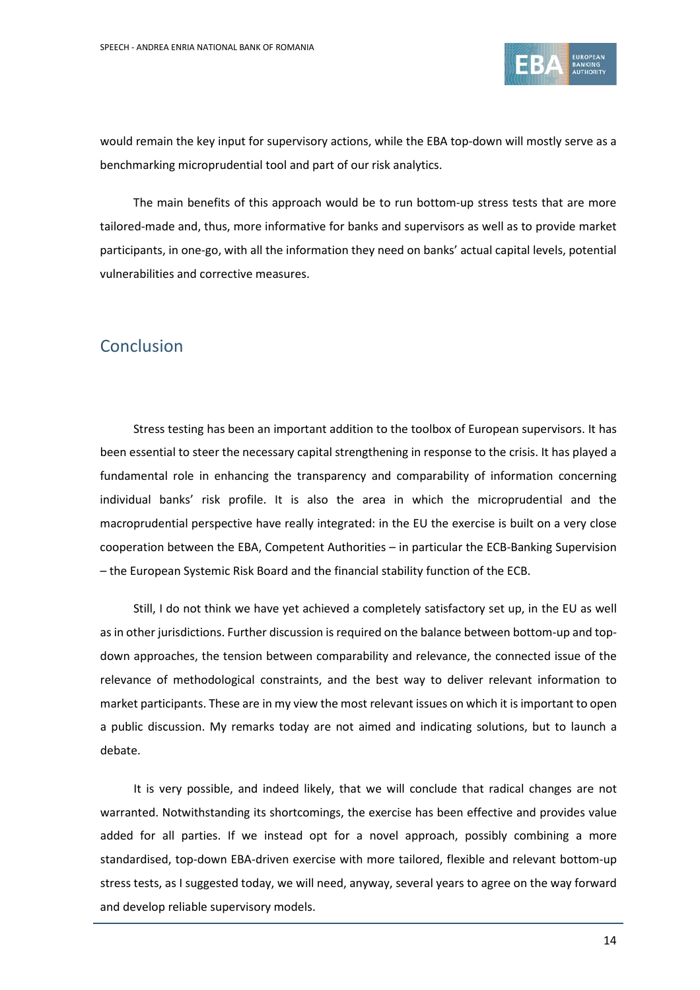

would remain the key input for supervisory actions, while the EBA top-down will mostly serve as a benchmarking microprudential tool and part of our risk analytics.

The main benefits of this approach would be to run bottom-up stress tests that are more tailored-made and, thus, more informative for banks and supervisors as well as to provide market participants, in one-go, with all the information they need on banks' actual capital levels, potential vulnerabilities and corrective measures.

# Conclusion

Stress testing has been an important addition to the toolbox of European supervisors. It has been essential to steer the necessary capital strengthening in response to the crisis. It has played a fundamental role in enhancing the transparency and comparability of information concerning individual banks' risk profile. It is also the area in which the microprudential and the macroprudential perspective have really integrated: in the EU the exercise is built on a very close cooperation between the EBA, Competent Authorities – in particular the ECB-Banking Supervision – the European Systemic Risk Board and the financial stability function of the ECB.

Still, I do not think we have yet achieved a completely satisfactory set up, in the EU as well as in other jurisdictions. Further discussion is required on the balance between bottom-up and topdown approaches, the tension between comparability and relevance, the connected issue of the relevance of methodological constraints, and the best way to deliver relevant information to market participants. These are in my view the most relevant issues on which it is important to open a public discussion. My remarks today are not aimed and indicating solutions, but to launch a debate.

It is very possible, and indeed likely, that we will conclude that radical changes are not warranted. Notwithstanding its shortcomings, the exercise has been effective and provides value added for all parties. If we instead opt for a novel approach, possibly combining a more standardised, top-down EBA-driven exercise with more tailored, flexible and relevant bottom-up stress tests, as I suggested today, we will need, anyway, several years to agree on the way forward and develop reliable supervisory models.